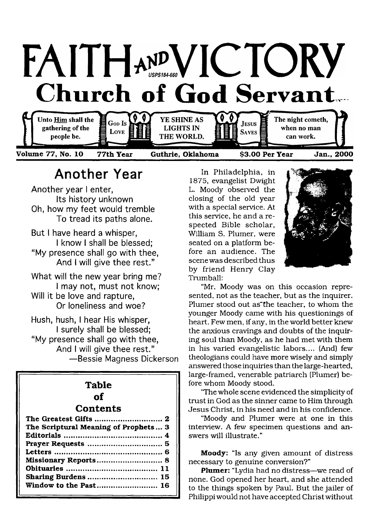

# **Another Year**

Another year I enter, Its history unknown Oh, how my feet would tremble To tread its paths alone.

But I have heard a whisper, I know I shall be blessed; "My presence shall go with thee, And I will give thee rest."

What will the new year bring me? I may not, must not know; Will it be love and rapture, Or loneliness and woe?

Hush, hush, I hear His whisper, I surely shall be blessed; "My presence shall go with thee, And I will give thee rest." —Bessie Magness Dickerson

## **Table of**

### **Contents**

| The Scriptural Meaning of Prophets 3 |  |
|--------------------------------------|--|
|                                      |  |
|                                      |  |
|                                      |  |
|                                      |  |
|                                      |  |
| Sharing Burdens  15                  |  |
| Window to the Past 16                |  |
|                                      |  |

In Philadelphia, in 1875, evangelist Dwight L. Moody observed the closing of the old year with a special service. At this service, he and a respected Bible scholar, William S. Plumer, were seated on a platform before an audience. The scene was described thus by friend Henry Clay Trumball:



"Mr. Moody was on this occasion represented, not as the teacher, but as the inquirer. Plumer stood out as"the teacher, to whom the younger Moody came with his questionings of heart. Few men, if any, in the world better knew the anxious cravings and doubts of the inquiring soul than Moody, as he had met with them in his varied evangelistic labors.... (And) few theologians could have more wisely and simply answered those inquiries than the large-hearted, large-framed, venerable patriarch (Plumer) before whom Moody stood.

'The whole scene evidenced the simplicity of trust in God as the sinner came to Him through Jesus Christ, in his need and in his confidence.

"Moody and Plumer were at one in this interview. A few specimen questions and answers will illustrate."

**Moody:** "Is any given amount of distress necessary to genuine conversion?"

**Plumer:** "Lydia had no distress—we read of none. God opened her heart, and she attended to the things spoken by Paul. But the jailer of Philippi would not have accepted Christ without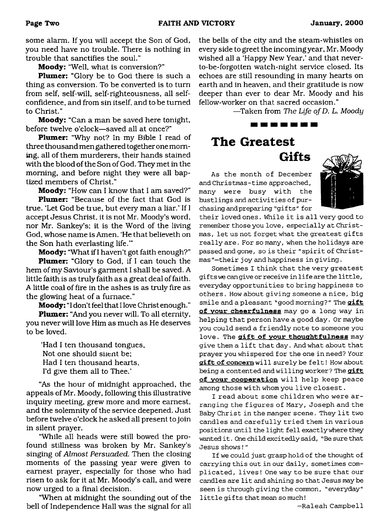some alarm. If you will accept the Son of God, you need have no trouble. There is nothing in trouble that sanctifies the soul."

**Moody:** "Well, what is conversion?"

**Plumer:** "Glory be to God there is such a thing as conversion. To be converted is to turn from self, self-will, self-righteousness, all selfconfidence, and from sin itself, and to be turned to Christ."

**Moody:** "Can a man be saved here tonight, before twelve o'clock—saved all at once?"

**Plumer:** "Why not? In my Bible I read of three thousand men gathered together one morning, all of them murderers, their hands stained with the blood of the Son of God. They met in the morning, and before night they were all baptized members of Christ."

**Moody:** "How can I know that I am saved?"

**Plumer:** "Because of the fact that God is true. 'Let God be true, but every man a liar.' If I accept Jesus Christ, it is not Mr. Moody's word, nor Mr. Sankey's; it is the Word of the living God, whose name is Amen. 'He that believeth on the Son hath everlasting life.'"

**Moody:** "What if I haven't got faith enough?"

**Plumer:** "Glory to God, if I can touch the hem of my Saviour's garment I shall be saved. A little faith is as truly faith as a great deal of faith. A little coal of fire in the ashes is as truly fire as the glowing heat of a furnace."

**Moody:** "I don't feel that I love Christ enough. "

**Plumer:** "And you never will. To all eternity, you never will love Him as much as He deserves to be loved.

'Had I ten thousand tongues, Not one should silent be; Had I ten thousand hearts, I'd give them all to Thee.'

"As the hour of midnight approached, the appeals of Mr. Moody, following this illustrative inquiry meeting, grew more and more earnest, and the solemnity of the service deepened. Just before twelve o'clock he asked all present to join in silent prayer.

"While all heads were still bowed the profound stillness was broken by Mr. Sankey's singing of *Almost Persuaded.* Then the closing moments of the passing year were given to earnest prayer, especially for those who had risen to ask for it at Mr. Moody's call, and were now urged to a final decision.

"When at midnight the sounding out of the bell of Independence Hall was the signal for all the bells of the city and the steam-whistles on every side to greet the incoming year, Mr. Moody wished all a 'Happy New Year,' and that neverto-be-forgotten watch-night service closed. Its echoes are still resounding in many hearts on earth and in heaven, and their gratitude is now deeper than ever to dear Mr. Moody and his fellow-worker on that sacred occasion."

—Taken from *The Life of* D. L. *Moody*

---------

## **The Greatest Gifts**

As the month of December and Christmas-time approached, many were busy with the bustlings and activities of purchas ing and preparing "gifts" for



their loved ones. While it is all very good to remember those you love, especially at Christmas, let us not forget what the greatest gifts really are. For so many, when the holidays are passed and gone, so is their "spirit of Christmas"— their joy and happiness in giving.

Sometimes I think chat the very greatest gifts we can give or receive in life are the little, everyday opportunities to bring happiness to others. How about giving someone a nice, big smile and a pleasant "good morning? " The **gift** of your cheerfulness may go a long way in helping that person have a good day. Or maybe you could send a friendly note to someone you love. The gift of your thoughtfulness may give them a lift that day. And what about that prayer you whispered for the one in need? Your **gift of concern** will surely be felt! How about being a contented and willing worker? The **gift of vour cooperation** will help keep peace among those with whom you live closest.

I read about some children who were arranging the figures of Mary, Joseph and the Baby Christ in the manger scene. They lit two candles and carefully tried them in various positions until the light fell exactly where they wanted it. One child excitedly said, "Be sure that Jesus shows! "

If we could just grasp hold of the thought of carrying this out in our daily, sometimes complicated, lives ! One way to be sure that our candles are lit and shining so that Jesus may be seen is through giving the common, "everyday" little gifts that mean so much!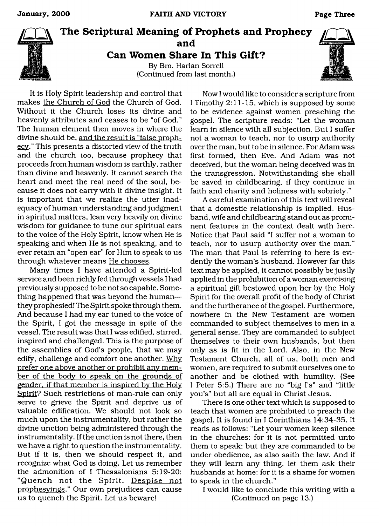### */ r i r \* **The Scriptural Meaning of Prophets and Prophecy and**  $\overline{1}$  **i**  $\overline{1}$  **i**  $\overline{1}$  **i**  $\overline{1}$  **i**  $\overline{1}$  **i**  $\overline{1}$  **i**  $\overline{1}$  **i**  $\overline{1}$  **i**  $\overline{1}$  **i**  $\overline{1}$  **i**  $\overline{1}$  **i**  $\overline{1}$  **i**  $\overline{1}$  **i**  $\overline{1}$  **i**  $\overline{1}$  **i**  $\overline{1}$  **i**  $\overline{1}$ **Can Women Share In This Gift?** By Bro. Harlan Sorrell (Continued from last month.)

It is Holy Spirit leadership and control that makes the Church of God the Church of God. Without it the Church loses its divine and heavenly attributes and ceases to be "of God." The human element then moves in where the divine should be, and the result is "false prophecy." This presents a distorted view of the truth and the church too, because prophecy that proceeds from human wisdom is earthly, rather than divine and heavenly. It cannot search the heart and meet the real need of the soul, because it does not carry with it divine insight. It is important that we realize the utter inadequacy of human understanding and judgment in spiritual matters, lean very heavily on divine wisdom for guidance to tune our spiritual ears to the voice of the Holy Spirit, know when He is speaking and when He is not speaking, and to ever retain an "open ear" for Him to speak to us through whatever means He chooses.

Many times I have attended a Spirit-led service and been richly fed through vessels I had previously supposed to be not so capable. Something happened that was beyond the human they prophesied! The Spirit spoke through them. And because I had my ear tuned to the voice of the Spirit, I got the message in spite of the vessel. The result was that I was edified, stirred, inspired and challenged. This is the purpose of the assemblies of God's people, that we may edify, challenge and comfort one another. Why prefer one above another or prohibit any member of the body to speak on the grounds of gender, if that member is inspired by the Holy Spirit? Such restrictions of man-rule can only serve to grieve the Spirit and deprive us of valuable edification. We should not look so much upon the instrumentality, but rather the divine unction being administered through the instrumentality. If the unction is not there, then we have a right to question the instrumentality. But if it is, then we should respect it, and recognize what God is doing. Let us remember the admonition of I Thessalonians 5:19-20: "Quench not the Spirit. Despise not prophesvings." Our own prejudices can cause us to quench the Spirit. Let us beware!

Now I would like to consider a scripture from I Timothy 2:11-15, which is supposed by some to be evidence against women preaching the gospel. The scripture reads: "Let the woman learn in silence with all subjection. But I suffer not a woman to teach, nor to usurp authority over the man, but to be in silence. For Adam was first formed, then Eve. And Adam was not deceived, but the woman being deceived was in the transgression. Notwithstanding she shall be saved in childbearing, if they continue in faith and charity and holiness with sobriety."

A careful examination of this text will reveal that a domestic relationship is implied. Husband, wife and childbearing stand out as prominent features in the context dealt with here. Notice that Paul said "I suffer not a woman to teach, nor to usurp authority over the man." The man that Paul is referring to here is evidently the woman's husband. However far this text may be applied, it cannot possibly be justly applied in the prohibition of a woman exercising a spiritual gift bestowed upon her by the Holy Spirit for the overall profit of the body of Christ and the furtherance of the gospel. Furthermore, nowhere in the New Testament are women commanded to subject themselves to men in a general sense. They are commanded to subject themselves to their own husbands, but then only as is fit in the Lord. Also, in the New Testament Church, all of us, both men and women, are required to submit ourselves one to another and be clothed with humility. (See I Peter 5:5.) There are no "big I's" and "little you's" but all are equal in Christ Jesus.

There is one other text which is supposed to teach that women are prohibited to preach the gospel. It is found in I Corinthians 14:34-35. It reads as follows: "Let your women keep silence in the churches: for it is not permitted unto them to speak; but they are commanded to be under obedience, as also saith the law. And if they will learn any thing, let them ask their husbands at home: for it is a shame for women to speak in the church."

I would like to conclude this writing with a (Continued on page 13.)

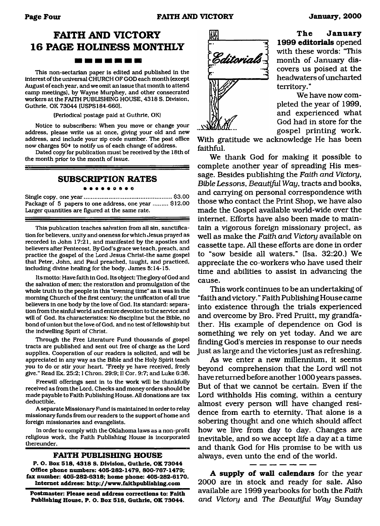### **FAITH AND VICTORY 16 PAGE HOLINESS MONTHLY** -----------

This non-sectarian paper is edited and published in the interest of the universal CHURCH OF GOD each month (except August of each year, and we omit an issue that month to attend camp meetings), by Wayne Murphey, and other consecrated workers at the FAITH PUBLISHING HOUSE, 4318 S. Division, Guthrie, OK 73044 (USPS184-660).

(Periodical postage paid at Guthrie, OK)

Notice to subscribers: When you move or change your address, please write us at once, giving your old and new address, and include your zip code number. The post office now charges 50\* to notify us of each change of address.

Dated copy for publication must be received by the 18th of the month prior to the month of issue.

### **SUBSCRIPTION RATES**

#### . . . . . . . . .

Single copy, one year..................................................... \$3.00 Package of 5 papers to one address, one year ......... \$12.00 Larger quantities are figured at the same rate.

This publication teaches salvation from all sin, sanctification for believers, unity and oneness for which Jesus prayed as recorded in John 17:21, and manifested by the apostles and believers after Pentecost. By God's grace we teach, preach, and practice the gospel of the Lord Jesus Christ-the same gospel that Peter, John, and Paul preached, taught, and practiced, including divine healing for the body. James 5:14-15.

Its motto: Have faith in God. Its object: The glory of God and the salvation of men: the restoration and promulgation of the whole truth to the people in this "evening time" as it was in the morning Church of the first century: the unification of all true believers in one body by the love of God. Its standard: separation from the sinful world and entire devotion to the service and will of God. Its characteristics: No discipline but the Bible, no bond of union but the love of God, and no test of fellowship but the indwelling Spirit of Christ.

Through the Free Literature Fund thousands of gospel tracts are published and sent out free of charge as the Lord supplies. Cooperation of our readers is solicited, and will be appreciated in any way as the Bible and the Holy Spirit teach you to do or stir your heart. "Freely ye have received, freely give." Read Ex. 25:2:1 Chron. 29:9: II Cor. 9:7: and Luke 6:38.

Freewill offerings sent in to the work will be thankfully received as from the Lord. Checks and money orders should be made payable to Faith Publishing House. All donations are tax deductible.

A separate Missionary Fund is maintained in order to relay missionary funds from our readers to the support of home and foreign missionaries and evangelists.

In order to comply with the Oklahoma laws as a non-profit religious work, the Faith Publishing House is incorporated thereunder.

#### **FAITH PUBLISHING HOUSE**

**P. O. Box 518, 4318 S. Division. Guthrie. OK 73044 Office phone numbers: 405-282-1479, 800-767-1479; fax number: 405-282-6318; home phone: 405-282-6170. Internet address: <http://www.faithpublishing.com>**

**Postmaster: Please send address corrections to: Faith Publishing House, P. O. Box 518, Guthrie, OK 73044.**



**The January 1999 editorials** opened with these words: "This month of January discovers us poised at the headwaters of uncharted territory."

We have now completed the year of 1999, and experienced what God had in store for the gospel printing work.

With gratitude we acknowledge He has been faithful.

We thank God for making it possible to complete another year of spreading His message. Besides publishing the *Faith and Victory, Bible Lessons, Beautiful Way,* tracts and books, and carrying on personal correspondence with those who contact the Print Shop, we have also made the Gospel available world-wide over the internet. Efforts have also been made to maintain a vigorous foreign missionary project, as well as make the *Faith and Victory* available on cassette tape. All these efforts are done in order to "sow beside all waters." (Isa. 32:20.) We appreciate the co-workers who have used their time and abilities to assist in advancing the cause.

This work continues to be an undertaking of "faith and victory. " Faith Publishing House came into existence through the trials experienced and overcome by Bro. Fred Pruitt, my grandfather. His example of dependence on God is something we rely on yet today. And we are finding God's mercies in response to our needs just as large and the victories just as refreshing.

As we enter a new millennium, it seems beyond comprehension that the Lord will not have returned before another 1000years passes. But of that we cannot be certain. Even if the Lord withholds His coming, within a century almost every person will have changed residence from earth to eternity. That alone is a sobering thought and one which should affect how we live from day to day. Changes are inevitable, and so we accept life a day at a time and thank God for His promise to be with us always, even unto the end of the world.

A supply of wall calendars for the year 2000 are in stock and ready for sale. Also available are 1999 yearbooks for both the *Faith and Victory* and *The Beautiful Way* Sunday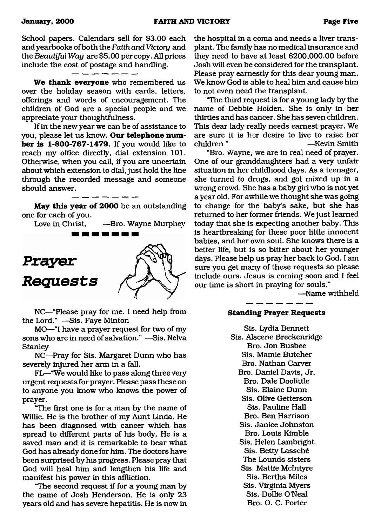School papers. Calendars sell for \$3.00 each and yearbooks of both the *Faith and Victory* and the *Beautiful Way* are \$5.00 per copy. All prices include the cost of postage and handling.

**We thank everyone** who remembered us over the holiday season with cards, letters, offerings and words of encouragement. The children of God are a special people and we appreciate your thoughtfulness.

If in the new year we can be of assistance to you, please let us know. **Our telephone number is 1-800-767-1479.** If you would like to reach my office directly, dial extension 101. Otherwise, when you call, if you are uncertain about which extension to dial, just hold the line through the recorded message and someone should answer.

**May this year of 2000** be an outstanding one for each of you.

Love in Christ, —Bro. Wayne Murphev



NC—"Please pray for me. I need help from the Lord." —Sis. Faye Minton

MO—"I have a prayer request for two of my sons who are in need of salvation." —Sis. Nelva **Stanley** 

NC—Pray for Sis. Margaret Dunn who has severely injured her arm in a fall.

FL—"We would like to pass along three very urgent requests for prayer. Please pass these on to anyone you know who knows the power of prayer.

"The first one is for a man by the name of Willie. He is the brother of my Aunt Linda. He has been diagnosed with cancer which has spread to different parts of his body. He is a saved man and it is remarkable to hear what God has already done for him. The doctors have been surprised by his progress. Please pray that God will heal him and lengthen his life and manifest his power in this affliction.

"The second request if for a young man by the name of Josh Henderson. He is only 23 years old and has severe hepatitis. He is now in

the hospital in a coma and needs a liver transplant. The family has no medical insurance and they need to have at least \$200,000.00 before Josh will even be considered for the transplant. Please pray earnestly for this dear young man. We know God is able to heal him and cause him to not even need the transplant.

"The third request is for a young lady by the name of Debbie Holden. She is only in her thirties and has cancer. She has seven children. This dear lady really needs earnest prayer. We are sure it is her desire to live to raise her<br>children "-Kevin Smith -Kevin Smith

"Bro. Wayne, we are in real need of prayer. One of our granddaughters had a very unfair situation in her childhood days. As a teenager, she turned to drugs, and got mixed up in a wrong crowd. She has a baby girl who is not yet a year old. For awhile we thought she was going to change for the baby's sake, but she has returned to her former friends. We just learned today that she is expecting another baby. This is heartbreaking for these poor little innocent babies, and her own soul. She knows there is a better life, but is so bitter about her younger days. Please help us pray her back to God. I am sure you get many of these requests so please include ours. Jesus is coming soon and I feel our time is short in praying for souls."

—Name withheld

### **Standing Prayer Requests**

Sis. Lydia Bennett Sis. Alscene Breckenridge Bro. Jon Busbee Sis. Mamie Butcher Bro. Nathan Carvei Bro. Daniel Davis, Jr. Bro. Dale Doolittle Sis. Elaine Dunn Sis. Olive Getterson Sis. Pauline Hall Bro. Ben Harrison Sis. Janice Johnston Bro. Louis Kimble Sis. Helen Lambright Sis. Betty Lassche The Lounds sisters Sis. Mattie McIntyre Sis. Bertha Miles Sis. Virginia Myers Sis. Dollie O'Neal Bro. O. C. Porter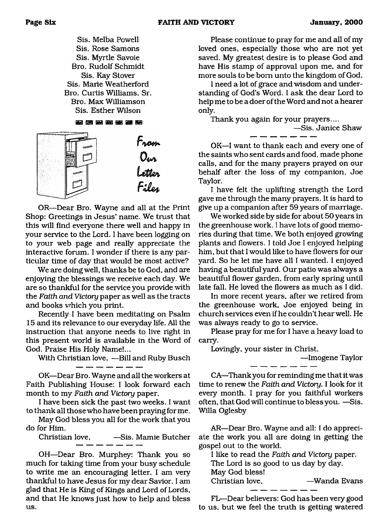Sis. Melba Powell Sis. Rose Samons Sis. Myrtle Savoie Bro. Rudolf Schmidt Sis. Kay Stover Sis. Marie Weatherford Bro. Curtis Williams, Sr. Bro. Max Williamson Sis. Esther Wilson

第2889 第288 第288 第288



OR—Dear Bro. Wayne and all at the Print Shop: Greetings in Jesus' name. We trust that this will find everyone there well and happy in your service to the Lord. I have been logging on to your web page and really appreciate the interactive forum. I wonder if there is any particular time of day that would be most active?

We are doing well, thanks be to God, and are enjoying the blessings we receive each day. We are so thankful for the service you provide with the *Faith and Victory* paper as well as the tracts and books which you print.

Recently I have been meditating on Psalm 15 and its relevance to our everyday life. All the instruction that anyone needs to live right in this present world is available in the Word of God. Praise His Holy Name!...

With Christian love, —Bill and Ruby Busch

OK—Dear Bro. Wayne and all the workers at Faith Publishing House: I look forward each month to my *Faith and Victory* paper.

I have been sick the past two weeks. I want to thank all those who have been praying for me.

May God bless you all for the work that you do for Him.

Christian love, —Sis. Mamie Butcher

OH—Dear Bro. Murphey: Thank you so much for taking time from your busy schedule to write me an encouraging letter. I am very thankful to have Jesus for my dear Savior. I am glad that He is King of Kings and Lord of Lords, and that He knows just how to help and bless us.

Please continue to pray for me and all of my loved ones, especially those who are not yet saved. My greatest desire is to please God and have His stamp of approval upon me, and for more souls to be bom unto the kingdom of God.

I need a lot of grace and wisdom and understanding of God's Word. I ask the dear Lord to help me to be a doer of the Word and not a hearer only.

Thank you again for your prayers....

—Sis. Janice Shaw

OK—I want to thank each and every one of the saints who sent cards and food, made phone calls, and for the many prayers prayed on our behalf after the loss of my companion, Joe Taylor.

I have felt the uplifting strength the Lord gave me through the many prayers. It is hard to give up a companion after 59 years of marriage.

We worked side by side for about 50 years in the greenhouse work. I have lots of good memories during that time. We both enjoyed growing plants and flowers. I told Joe I enjoyed helping him, but that I would like to have flowers for our yard. So he let me have all I wanted. I enjoyed having a beautiful yard. Our patio was always a beautiful flower garden, from early spring until late fall. He loved the flowers as much as I did.

In more recent years, after we retired from the greenhouse work, Joe enjoyed being in church services even if he couldn't hear well. He was always ready to go to service.

Please pray for me for I have a heavy load to carry.

Lovingly, your sister in Christ,

—Imogene Taylor

CA—Thank you for reminding me that it was time to renew the *Faith and Victory.* I look for it every month. I pray for you faithful workers often, that God will continue to bless you. —Sis. Willa Oglesby

AR—Dear Bro. Wayne and all: I do appreciate the work you all are doing in getting the gospel out to the world.

I like to read the *Faith and Victory* paper. The Lord is so good to us day by day. May God bless! Christian love, —Wanda Evans

FL—Dear believers: God has been very good to us, but we feel the truth is getting watered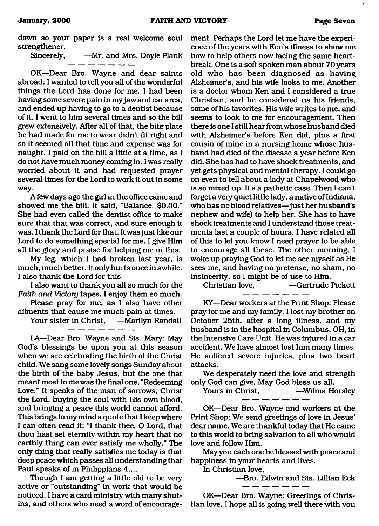down so your paper is a real welcome soul strengthener.<br>Sincerely,

-Mr. and Mrs. Doyle Plank

OK—Dear Bro. Wayne and dear saints abroad: I wanted to tell you all of the wonderful things the Lord has done for me. I had been having some severe pain in my jaw and ear area, and ended up having to go to a dentist because of it. I went to him several times and so the bill grew extensively. After all of that, the bite plate he had made for me to wear didn't fit right and so it seemed all that time and expense was for naught. I paid on the bill a little at a time, as I do not have much money coming in. I was really worried about it and had requested prayer several times for the Lord to work it out in some way.

A few days ago the girl in the office came and showed me the bill. It said, "Balance: \$0.00." She had even called the dentist office to make sure that that was correct, and sure enough it was. I thank the Lord for that. It was just like our Lord to do something special for me. I give Him all the glory and praise for helping me in this.

My leg, which I had broken last year, is much, much better. It only hurts once in awhile. I also thank the Lord for this.

I also want to thank you all so much for the *Faith and Victory* tapes. I enjoy them so much.

Please pray for me, as I also have other ailments that cause me much pain at times.

Your sister in Christ, —Marilyn Randall \_ \_\_ \_\_ \_\_ \_\_ \_\_ \_\_

LA—Dear Bro. Wayne and Sis. Mary: May God's blessings be upon you at this season when we are celebrating the birth of the Christ child. We sang some lovely songs Sunday about the birth of the baby Jesus, but the one that meant most to me was the final one, "Redeeming Love." It speaks of the man of sorrows, Christ the Lord, buying the soul with His own blood, and bringing a peace this world cannot afford. This brings to my mind a quote that I keep where I can often read it: "I thank thee, O Lord, that thou hast set eternity within my heart that no earthly thing can ever satisfy me wholly." The only thing that really satisfies me today is that deep peace which passes all understanding that Paul speaks of in Philippians 4....

Though I am getting a little old to be very active or "outstanding" in work that would be noticed, I have a card ministry with many shutins, and others who need a word of encouragement. Perhaps the Lord let me have the experience of the years with Ken's illness to show me how to help others now facing the same heartbreak. One is a soft spoken man about 70 years old who has been diagnosed as having Alzheimer's, and his wife looks to me. Another is a doctor whom Ken and I considered a true Christian, and he considered us his friends, some of his favorites. His wife writes to me, and seems to look to me for encouragement. Then there is one I still hear from whose husband died with Alzheimer's before Ken did, plus a first cousin of mine in a nursing home whose husband had died of the disease a year before Ken did. She has had to have shock treatments, and yet gets physical and mental therapy. I could go on even to tell about a lady at Chapelwood who is so mixed up. It's a pathetic case. Then I can't forget a very quiet little lady, a native of Indiana, who has no blood relatives—just her husband's nephew and wife) to help her. She has to have shock treatments and I understand those treatments last a couple of hours. I have related all of this to let you know I need prayer to be able to encourage all these. The other morning, I woke up praying God to let me see myself as He sees me, and having no pretense, no sham, no insincerity, so I might be of use to Him.

**-Gertrude Pickett** \_ \_\_ \_\_ \_\_ \_

KY—Dear workers at the Print Shop: Please pray for me and my family. I lost my brother on October 25th, after a long illness, and my husband is in the hospital in Columbus, OH, in the Intensive Care Unit. He was injured in a car accident. We have almost lost him many times. He suffered severe injuries, plus two heart attacks.

We desperately need the love and strength only God can give. May God bless us all.<br>Yours in Christ, —Wilma Ho

—Wilma Horsley . ... ... ... .

OK—Dear Bro. Wayne and workers at the Print Shop: We send greetings of love in Jesus' dear name. We are thankful today that He came to this world to bring salvation to all who would love and follow Him.

May you each one be blessed with peace and happiness in your hearts and lives.

In Christian love,

—Bro. Edwin and Sis. Lillian Eck

OK—Dear Bro. Wayne: Greetings of Christian love. I hope all is going well there with you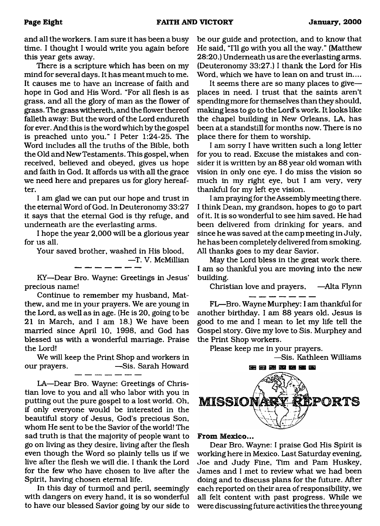and all the workers. I am sure it has been a busy time. I thought I would write you again before this year gets away.

There is a scripture which has been on my mind for several days. It has meant much to me. It causes me to have an increase of faith and hope in God and His Word. "For all flesh is as grass, and all the glory of man as the flower of grass. The grass withereth, and the flower thereof falleth away: But the word of the Lord endureth for ever. And this is the word which by the gospel is preached unto you." I Peter 1:24-25. The Word includes all the truths of the Bible, both the Old and New Testaments. This gospel, when received, believed and obeyed, gives us hope and faith in God. It affords us with all the grace we need here and prepares us for glory hereafter.

I am glad we can put our hope and trust in the eternal Word of God. In Deuteronomy 33:27 it says that the eternal God is thy refuge, and underneath are the everlasting arms.

I hope the year 2,000 will be a glorious year for us all.

Your saved brother, washed in His blood,

—T. V. McMillian

KY—Dear Bro. Wayne: Greetings in Jesus' precious name!

Continue to remember my husband, Matthew, and me in your prayers. We are young in the Lord, as well as in age. (He is 20, going to be 21 in March, and I am 18.) We have been married since April 10, 1998, and God has blessed us with a wonderful marriage. Praise the Lord!

We will keep the Print Shop and workers in our prayers. **—Sis. Sarah Howard** 

LA—Dear Bro. Wayne: Greetings of Christian love to you and all who labor with you in putting out the pure gospel to a lost world. Oh, if only everyone would be interested in the beautiful story of Jesus, God's precious Son, whom He sent to be the Savior of the world! The sad truth is that the majority of people want to go on living as they desire, living after the flesh even though the Word so plainly tells us if we live after the flesh we will die. I thank the Lord for the few who have chosen to live after the Spirit, having chosen eternal life.

In this day of turmoil and peril, seemingly with dangers on every hand, it is so wonderful to have our blessed Savior going by our side to be our guide and protection, and to know that He said, "I'll go with you all the way." (Matthew 28:20.) Underneath us are the everlasting arms. (Deuteronomy 33:27.) I thank the Lord for His Word, which we have to lean on and trust in....

It seems there are so many places to give places in need. I trust that the saints aren't spending more for themselves than they should, making less to go to the Lord's work. It looks like the chapel building in New Orleans, LA, has been at a standstill for months now. There is no place there for them to worship.

I am sorry I have written such a long letter for you to read. Excuse the mistakes and consider it is written by an 88 year old woman with vision in only one eye. I do miss the vision so much in my right eye, but I am very, very thankful for my left eye vision.

I am praying for the Assembly meeting there. I think Dean, my grandson, hopes to go to part of it. It is so wonderful to see him saved. He had been delivered from drinking for years, and since he was saved at the camp meeting in July, he has been completely delivered from smoking. All thanks goes to my dear Savior.

May the Lord bless in the great work there. I am so thankful you are moving into the new building.

Christian love and prayers, —Alta Flynn

FL—Bro. Wayne Murphey: I am thankful for another birthday. I am 88 years old. Jesus is good to me and I mean to let my life tell the Gospel story. Give my love to Sis. Murphey and the Print Shop workers.

Please keep me in your prayers.

—Sis. Kathleen Williams W H W B HIM IB HIM IB **MISSION !PORTS** 

#### **From Mexico...**

Dear Bro. Wayne: I praise God His Spirit is working here in Mexico. Last Saturday evening, Joe and Judy Fine, Tim and Pam Huskey, James and I met to review what we had been doing and to discuss plans for the future. After each reported on their area of responsibility, we all felt content with past progress. While we were discussing future activities the three young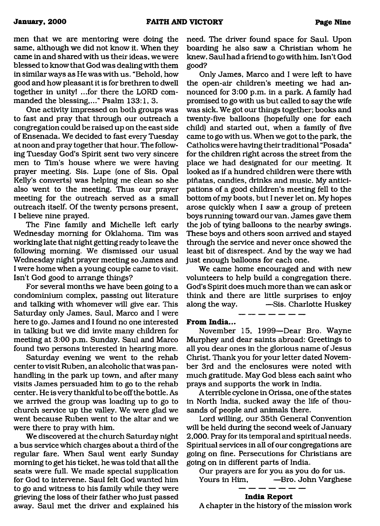men that we are mentoring were doing the same, although we did not know it. When they came in and shared with us their ideas, we were blessed to know that God was dealing with them in similar ways as He was with us. "Behold, how good and how pleasant it is for brethren to dwell together in unity! ...for there the LORD commanded the blessing,..." Psalm 133:1, 3.

One activity impressed on both groups was to fast and pray that through our outreach a congregation could be raised up on the east side of Ensenada. We decided to fast every Tuesday at noon and pray together that hour. The following Tuesday God's Spirit sent two very sincere men to Tim's house where we were having prayer meeting. Sis. Lupe (one of Sis. Opal Kelly's converts) was helping me clean so she also went to the meeting. Thus our prayer meeting for the outreach served as a small outreach itself. Of the twenty persons present, I believe nine prayed.

The Fine family and Michelle left early Wednesday morning for Oklahoma. Tim was working late that night getting ready to leave the following morning. We dismissed our usual Wednesday night prayer meeting so James and I were home when a young couple came to visit. Isn't God good to arrange things?

For several months we have been going to a condominium complex, passing out literature and talking with whomever will give ear. This Saturday only James, Saul, Marco and I were here to go. James and I found no one interested in talking but we did invite many children for meeting at 3:00 p.m. Sunday. Saul and Marco found two persons interested in hearing more.

Saturday evening we went to the rehab center to visit Ruben, an alcoholic that was panhandling in the park up town, and after many visits James persuaded him to go to the rehab center. He is very thankful to be off the bottle. As we arrived the group was loading up to go to church service up the valley. We were glad we went because Ruben went to the altar and we were there to pray with him.

We discovered at the church Saturday night a bus service which charges about a third of the regular fare. When Saul went early Sunday morning to get his ticket, he was told that all the seats were full. We made special supplication for God to intervene. Saul felt God wanted him to go and witness to his family while they were grieving the loss of their father who just passed away. Saul met the driver and explained his

need. The driver found space for Saul. Upon boarding he also saw a Christian whom he knew. Saul had a friend to go with him. Isn't God good?

Only James, Marco and I were left to have the open-air children's meeting we had announced for 3:00 p.m. in a park. A family had promised to go with us but called to say the wife was sick. We got our things together: books and twenty-five balloons (hopefully one for each child) and started out, when a family of five came to go with us. When we got to the park, the Catholics were having their traditional "Posada" for the children right across the street from the place we had designated for our meeting. It looked as if a hundred children were there with pinatas, candies, drinks and music. My anticipations of a good children's meeting fell to the bottom of my boots, but I never let on. My hopes arose quickly when I saw a group of preteen boys running toward our van. James gave them the job of tying balloons to the nearby swings. These boys and others soon arrived and stayed through the service and never once showed the least bit of disrespect. And by the way we had just enough balloons for each one.

We came home encouraged and with new volunteers to help build a congregation there. God's Spirit does much more than we can ask or think and there are little surprises to enjoy along the way. —Sis. Charlotte Huskey

#### **From India...**

November 15, 1999—Dear Bro. Wayne Murphey and dear saints abroad: Greetings to all you dear ones in the glorious name of Jesus Christ. Thank you for your letter dated November 3rd and the enclosures were noted with much gratitude. May God bless each saint who prays and supports the work in India.

A terrible cyclone in Orissa, one of the states in North India, sucked away the life of thousands of people and animals there.

Lord willing, our 35th General Convention will be held during the second week of January 2,000. Pray for its temporal and spiritual needs. Spiritual services in all of our congregations are going on fine. Persecutions for Christians are going on in different parts of India.

Our prayers are for you as you do for us. Yours in Him, —Bro. John Varghese

#### **India Report**

A chapter in the history of the mission work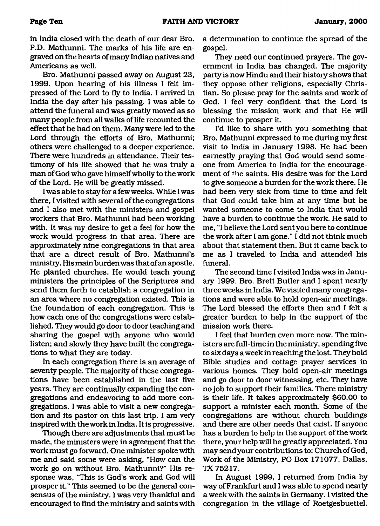in India closed with the death of our dear Bro. P.D. Mathunni. The marks of his life are engraved on the hearts of many Indian natives and Americans as well.

Bro. Mathunni passed away on August 23, 1999. Upon hearing of his illness I felt impressed of the Lord to fly to India. I arrived in India the day after his passing. I was able to attend the funeral and was greatly moved as so many people from all walks of life recounted the effect that he had on them. Many were led to the Lord through the efforts of Bro. Mathunni; others were challenged to a deeper experience. There were hundreds in attendance. Their testimony of his life showed that he was truly a man of God who gave himself wholly to the work of the Lord. He will be greatly missed.

I was able to stay for a few weeks. While I was there, I visited with several of the congregations and I also met with the ministers and gospel workers that Bro. Mathunni had been working with. It was my desire to get a feel for how the work would progress in that area. There are approximately nine congregations in that area that are a direct result of Bro. Mathunni's ministry. His main burden was that of an apostle. He planted churches. He would teach young ministers the principles of the Scriptures and send them forth to establish a congregation in an area where no congregation existed. This is the foundation of each congregation. This is how each one of the congregations were established. They would go door to door teaching and sharing the gospel with anyone who would listen; and slowly they have built the congregations to what they are today.

In each congregation there is an average of seventy people. The majority of these congregations have been established in the last five years. They are continually expanding the congregations and endeavoring to add more congregations. I was able to visit a new congregation and its pastor on this last trip. I am very inspired with the work in India. It is progressive.

Though there are adjustments that must be made, the ministers were in agreement that the work must go forward. One minister spoke with me and said some were asking, "How can the work go on without Bro. Mathunni?" His response was, "This is God's work and God will prosper it." This seemed to be the general consensus of the ministry. 1 was very thankful and encouraged to find the ministry and saints with

a determination to continue the spread of the gospel.

They need our continued prayers. The government in India has changed. The majority party is now Hindu and their history shows that they oppose other religions, especially Christian. So please pray for the saints and work of God. I feel very confident that the Lord is blessing the mission work and that He will continue to prosper it.

I'd like to share with you something that Bro. Mathunni expressed to me during my first visit to India in January 1998. He had been earnestly praying that God would send someone from America to India for the encouragement of the saints. His desire was for the Lord to give someone a burden for the work there. He had been very sick from time to time and felt that God could take him at any time but he wanted someone to come to India that would have a burden to continue the work. He said to me, "I believe the Lord sent you here to continue the work after I am gone." I did not think much about that statement then. But it came back to me as I traveled to India and attended his funeral.

The second time I visited India was in January 1999. Bro. Brett Butler and I spent nearly three weeks in India. We visited many congregations and were able to hold open-air meetings. The Lord blessed the efforts then and I felt a greater burden to help in the support of the mission work there.

I feel that burden even more now. The ministers are full-time in the ministry, spending five to six days a week in reaching the lost. They hold Bible studies and cottage prayer services in various homes. They hold open-air meetings and go door to door witnessing, etc. They have no job to support their families. There ministry is their life. It takes approximately \$60.00 to support a minister each month. Some of the congregations are without church buildings and there are other needs that exist. If anyone has a burden to help in the support of the work there, your help will be greatly appreciated. You may send your contributions to: Church of God, Work of the Ministry, PO Box 171077, Dallas, TX 75217.

In August 1999, I returned from India by way of Frankfurt and I was able to spend nearly a week with the saints in Germany. I visited the congregation in the village of Roetgesbuettel.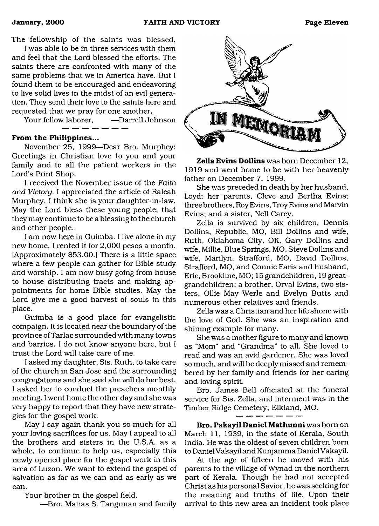The fellowship of the saints was blessed.

I was able to be in three services with them and feel that the Lord blessed the efforts. The saints there are confronted with many of the same problems that we in America have. But I found them to be encouraged and endeavoring to live solid lives in the midst of an evil generation. They send their love to the saints here and requested that we pray for one another.

Your fellow laborer, 
—Darrell Johnson

#### **From the Philippines...**

November 25, 1999—Dear Bro. Murphey: Greetings in Christian love to you and your family and to all the patient workers in the Lord's Print Shop.

I received the November issue of the *Faith and Victory.* I appreciated the article of Raleah Murphey. I think she is your daughter-in-law. May the Lord bless these young people, that they may continue to be a blessing to the church and other people.

I am now here in Guimba. I live alone in my new home. I rented it for 2,000 pesos a month. [Approximately \$53.00.] There is a little space where a few people can gather for Bible study and worship. I am now busy going from house to house distributing tracts and making appointments for home Bible studies. May the Lord give me a good harvest of souls in this place.

Guimba is a good place for evangelistic compaign. It is located near the boundary of the province of Tarlac surrounded with many towns and barrios. I do not know anyone here, but I trust the Lord will take care of me.

I asked my daughter. Sis. Ruth, to take care of the church in San Jose and the surrounding congregations and she said she will do her best. I asked her to conduct the preachers monthly meeting. I went home the other day and she was very happy to report that they have new strategies for the gospel work.

May I say again thank you so much for all your loving sacrifices for us. May I appeal to all the brothers and sisters in the U.S.A. as a whole, to continue to help us, especially this newly opened place for the gospel work in this area of Luzon. We want to extend the gospel of salvation as far as we can and as early as we can.

Your brother in the gospel field,

—Bro. Matias S. Tangunan and family



**Zella Evins Dollins** was bom December 12, 1919 and went home to be with her heavenly father on December 7, 1999.

She was preceded in death by her husband, Loyd; her parents, Cleve and Bertha Evins; three brothers, Roy Evins, Troy Evins and Marvin Evins; and a sister, Nell Carey.

Zella is survived by six children, Dennis Dollins, Republic, MO, Bill Dollins and wife, Ruth, Oklahoma City, OK, Gary Dollins and wife, Millie, Blue Springs, MO, Steve Dollins and wife, Marilyn, Strafford, MO, David Dollins, Strafford, MO, and Connie Faris and husband, Eric, Brookline, MO; 15 grandchildren, 19 greatgrandchildren; a brother, Orval Evins, two sisters, Ollie May Werle and Evelyn Butts and numerous other relatives and friends.

Zella was a Christian and her life shone with the love of God. She was an inspiration and shining example for many.

She was a mother figure to many and known as "Mom" and "Grandma" to all. She loved to read and was an avid gardener. She was loved so much, and will be deeply missed and remembered by her family and friends for her caring and loving spirit.

Bro. James Bell officiated at the funeral service for Sis. Zella, and interment was in the Timber Ridge Cemetery, Elkland, MO.

**Bro. Pakayil Daniel Mathunni** was bom on March 11, 1939, in the state of Kerala, South India. He was the oldest of seven children bom to Daniel Vakayil and Kunjamma Daniel Vakayil.

At the age of fifteen he moved with his parents to the village of Wynad in the northern part of Kerala. Though he had not accepted Christ as his personal Savior, he was seeking for the meaning and truths of life. Upon their arrival to this new area an incident took place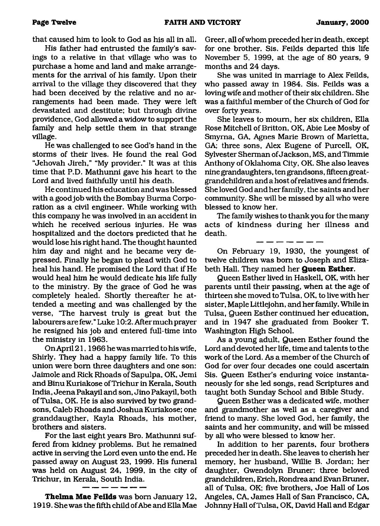that caused him to look to God as his all in all.

His father had entrusted the family's savings to a relative in that village who was to purchase a home and land and make arrangements for the arrival of his family. Upon their arrival to the village they discovered that they had been deceived by the relative and no arrangements had been made. They were left devastated and destitute; but through divine providence, God allowed a widow to support the family and help settle them in that strange village.

He was challenged to see God's hand in the storms of their lives. He found the real God "Jehovah Jireh," "My provider." It was at this time that P.D. Mathunni gave his heart to the Lord and lived faithfully until his death.

He continued his education and was blessed with a good job with the Bombay Burma Corporation as a civil engineer. While working with this company he was involved in an accident in which he received serious injuries. He was hospitalized and the doctors predicted that he would lose his right hand. The thought haunted him day and night and he became very depressed. Finally he began to plead with God to heal his hand. He promised the Lord that if He would heal him he would dedicate his life fully to the ministry. By the grace of God he was completely healed. Shortly thereafter he attended a meeting and was challenged by the verse, "The harvest truly is great but the labourers are few." Luke 10:2. After much prayer he resigned his job and entered full-time into the ministry in 1963.

On April 21,1966 he was married to his wife, Shirly. They had a happy family life. To this union were bom three daughters and one son: Jaimole and Rick Rhoads of Sapulpa, OK, Jemi and Binu Kuriakose of Trichur in Kerala, South India, Jeena Pakayil and son, Jino Pakayil, both of Tulsa, OK. He is also survived by two grandsons, Caleb Rhoads and Joshua Kuriakose; one granddaugther, Kayla Rhoads, his mother, brothers and sisters.

For the last eight years Bro. Mathunni suffered from kidney problems. But he remained active in serving the Lord even unto the end. He passed away on August 23, 1999. His funeral was held on August 24, 1999, in the city of Trichur, in Kerala, South India.

**Thelma Mae Feilds** was bom January 12, 1919. She was the fifth child of Abe and Ella Mae Greer, all of whom preceded her in death, except for one brother. Sis. Feilds departed this life November 5, 1999, at the age of 80 years, 9 months and 24 days.

She was united in marriage to Alex Feilds, who passed away in 1984. Sis. Feilds was a loving wife and mother of their six children. She was a faithful member of the Church of God for over forty years.

She leaves to mourn, her six children, Ella Rose Mitchell of Britton, OK, Abie Lee Mosby of Smyrna, GA, Agnes Marie Brown of Marietta, GA; three sons, Alex Eugene of Purcell, OK, Sylvester Sherman of Jackson, MS, andTimmie Anthony of Oklahoma City, OK. She also leaves nine grandaughters, ten grandsons, fifteen greatgrandchildren and a host of relatives and friends. She loved God and her family, the saints and her community. She will be missed by all who were blessed to know her.

The family wishes to thank you for the many acts of kindness during her illness and death.

On February 19, 1930, the youngest of twelve children was bom to Joseph and Elizabeth Hall. They named her **Queen Esther.**

Queen Esther lived in Haskell, OK, with her parents until their passing, when at the age of thirteen she moved to Tulsa, OK, to live with her sister, Maple Littlejohn, and her family. While in Tulsa, Queen Esther continued her education, and in 1947 she graduated from Booker T. Washington High School.

As a young adult, Queen Esther found the Lord and devoted her life, time and talents to the work of the Lord. As a member of the Church of God for over four decades one could ascertain Sis. Queen Esther's enduring voice instantaneously for she led songs, read Scriptures and taught both Sunday School and Bible Study.

Queen Esther was a dedicated wife, mother and grandmother as well as a caregiver and friend to many. She loved God, her family, the saints and her community, and will be missed by all who were blessed to know her.

In addition to her parents, four brothers preceded her in death. She leaves to cherish her memory, her husband, Willie B. Jordan; her daughter, Gwendolyn Bruner; three beloved grandchildren, Erich, Rondrea and Evan Bruner, all of Tulsa, OK; five brothers, Joe Hall of Los Angeles, CA, James Hall of San Francisco, CA, Johnny Hall of Tulsa, OK, David Hall and Edgar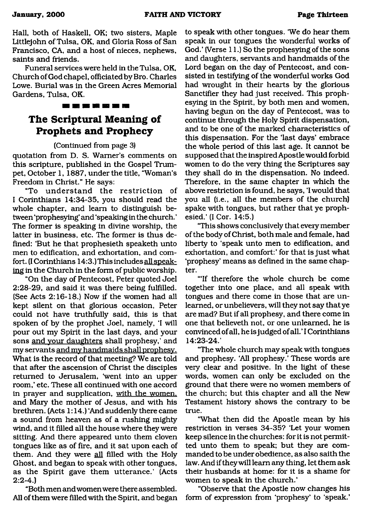Hall, both of Haskell, OK; two sisters, Maple Littlejohn of Tulsa, OK, and Gloria Ross of San Francisco, CA, and a host of nieces, nephews, saints and friends.

Funeral services were held in the Tulsa, OK, Church of God chapel, officiated by Bro. Charles Lowe. Burial was in the Green Acres Memorial Gardens, Tulsa, OK.

#### <u>te de 10 de estas po</u>

### **The Scriptural Meaning of Prophets and Prophecy**

#### (Continued from page 3)

quotation from D. S. Warner's comments on this scripture, published in the Gospel Trumpet, October 1, 1887, under the title, "Woman's Freedom in Christ." He says:

"To understand the restriction of I Corinthians 14:34-35, you should read the whole chapter, and learn to distinguish between 'prophesying' and 'speaking in the church. ' The former is speaking in divine worship, the latter in business, etc. The former is thus defined: 'But he that prophesieth speaketh unto men to edification, and exhortation, and comfort. (I Corinthians 14:3.) This includes all speaking in the Church in the form of public worship.

"On the day of Pentecost, Peter quoted Joel 2:28-29, and said it was there being fulfilled. (See Acts 2:16-18.) Now if the women had all kept silent on that glorious occasion, Peter could not have truthfully said, this is that spoken of by the prophet Joel, namely, 'I will pour out my Spirit in the last days, and your sons and your daughters shall prophesy,' and my servants and my handmaids shall prophesy. What is the record of that meeting? We are told that after the ascension of Christ the disciples returned to Jerusalem, \*went into an upper room,' etc. These all continued with one accord in prayer and supplication, with the women. and Mary the mother of Jesus, and with his brethren. (Acts 1:14.) 'And suddenly there came a sound from heaven as of a rushing mighty wind, and it filled all the house where they were sitting. And there appeared unto them cloven tongues like as of fire, and it sat upon each of them. And they were all filled with the Holy Ghost, and began to speak with other tongues, as the Spirit gave them utterance.' (Acts 2:2-4.)

"Both men and women were there assembled. All of them were filled with the Spirit, and began to speak with other tongues. 'We do hear them speak in our tongues the wonderful works of God.' (Verse 11.) So the prophesying of the sons and daughters, servants and handmaids of the Lord began on the day of Pentecost, and consisted in testifying of the wonderful works God had wrought in their hearts by the glorious Sanctifier they had just received. This prophesying in the Spirit, by both men and women, having begun on the day of Pentecost, was to continue through the Holy Spirit dispensation, and to be one of the marked characteristics of this dispensation. For the 'last days' embrace the whole period of this last age. It cannot be supposed that the inspired Apostle would forbid women to do the very thing the Scriptures say they shall do in the dispensation. No indeed. Therefore, in the same chapter in which the above restriction is found, he says, 'I would that you all (i.e., all the members of the church) spake with tongues, but rather that ye prophesied.' (I Cor. 14:5.)

"This shows conclusively that every member of the body of Christ, both male and female, had liberty to 'speak unto men to edification, and exhortation, and comfort:' for that is just what 'prophesy' means as defined in the same chapter.

"'If therefore the whole church be come together into one place, and all speak with tongues and there come in those that are unlearned, or unbelievers, will they not say that ye are mad? But if all prophesy, and there come in one that believeth not, or one unlearned, he is convinced of all, he is judged of all.'I Corinthians 14:23-24.'

'The whole church may speak with tongues and prophesy. 'All prophesy.' These words are very clear and positive. In the light of these words, women can only be excluded on the ground that there were no women members of the church; but this chapter and all the New Testament history shows the contrary to be true.

"What then did the Apostle mean by his restriction in verses 34-35? 'Let your women keep silence in the churches: for it is not permitted unto them to speak; but they are commanded to be under obedience, as also saith the law. And if they will learn any thing, let them ask their husbands at home: for it is a shame for women to speak in the church.'

"Observe that the Apostle now changes his form of expression from 'prophesy' to 'speak.'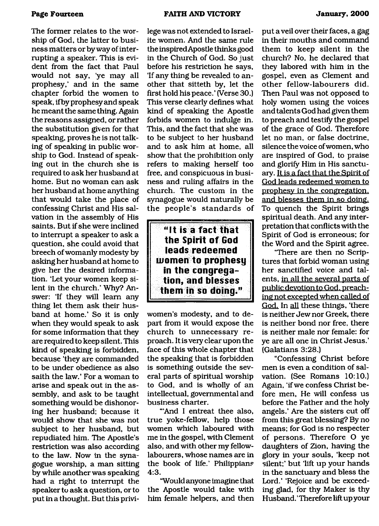**Page Fourteen**

The former relates to the worship of God, the latter to business matters or by way of interrupting a speaker. This is evident from the fact that Paul would not say, 'ye may all prophesy,' and in the same chapter forbid the women to speak, if by prophesy and speak he meant the same thing. Again the reasons assigned, or rather the substitution given for that speaking, proves he is not talking of speaking in public worship to God. Instead of speaking out in the church she is required to ask her husband at home. But no woman can ask her husband at home anything that would take the place of confessing Christ and His salvation in the assembly of His saints. But if she were inclined to interrupt a speaker to ask a question, she could avoid that breech of womanly modesty by asking her husband at home to give her the desired information. 'Let your women keep silent in the church.' Why? Answer: 'If they will learn any thing let them ask their husband at home.' So it is only when they would speak to ask for some information that they are required to keep silent. This kind of speaking is forbidden, because 'they are commanded to be under obedience as also saith the law.' For a woman to arise and speak out in the assembly, and ask to be taught something would be dishonoring her husband; because it would show that she was not subject to her husband, but repudiated him. The Apostle's restriction was also according to the law. Now in the synagogue worship, a man sitting by while another was speaking had a right to interrupt the speaker to ask a question, or to put in a thought. But this privi-

lege was not extended to Israelite women. And the same rule the inspired Apostle thinks good in the Church of God. So just before his restriction he says, 'If any thing be revealed to another that sitteth by, let the first hold his peace.' (Verse 30.) This verse clearly defines what kind of speaking the Apostle forbids women to indulge in. This, and the fact that she was to be subject to her husband and to ask him at home, all show that the prohibition only refers to making herself too free, and conspicuous in business and ruling affairs in the church. The custom in the synagogue would naturally be the people's standards of

**"It is a fact that the Spirit of God leads redeemed women to prophesy in the congregation, and blesses them in so doing."**

women's modesty, and to depart from it would expose the church to unnecessary reproach. It is very clear upon the face of this whole chapter that the speaking that is forbidden is something outside the several parts of spiritual worship to God, and is wholly of an intellectual, governmental and business charter.

"'And I entreat thee also, true yoke-fellow, help those women which laboured with me in the gospel, with Clement also, and with other my fellowlabourers, whose names are in the book of life.' Philippian? 4:3.

"Would anyone imagine that the Apostle would take with him female helpers, and then

put a veil over their faces, a gag in their mouths and command them to keep silent in the church? No, he declared that they labored with him in the gospel, even as Clement and other fellow-labourers did. Then Paul was not opposed to holy women using the voices and talents God had given them to preach and testify the gospel of the grace of God. Therefore let no man, or false doctrine, silence the voice of women, who are inspired of God, to praise and glorify Him in His sanctuary. It is a fact that the Spirit of God leads redeemed women to prophesy in the congregation, and blesses them in so doing. To quench the Spirit brings spiritual death. And any interpretation that conflicts with the Spirit of God is erroneous; for the Word and the Spirit agree.

"There are then no Scriptures that forbid woman using her sanctified voice and talents, in all the several parts of public devotion to God, preaching not excepted when called of God. In all these things, 'there is neither Jew nor Greek, there is neither bond nor free, there is neither male nor female: for ye are all one in Christ Jesus.' (Galatians 3:28.)

"Confessing Christ before men is even a condition of salvation. (See Romans 10:10.) Again, 'if we confess Christ before men, He will confess us before the Father and the holy angels.' Are the sisters cut off from this great blessing? By no means; for God is no respecter of persons. Therefore O ye daughters of Zion, having the glory in your souls, 'keep not silent;' but 'lift up your hands in the sanctuary and bless the Lord.' 'Rejoice and be exceeding glad, for thy Maker is thy Husband. ' Therefore lift up your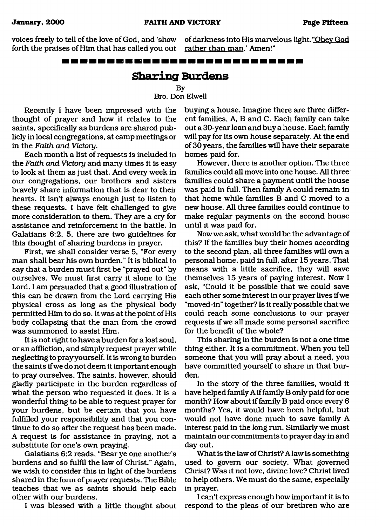voices freely to tell of the love of God, and 'show of darkness into His marvelous light."<u>Obey God</u><br>forth the praises of Him that has called you out rather than man.' Amen!" forth the praises of Him that has called you out

> --------

### **Sharing Burdens**

By

Bro. Don Elwell

Recently I have been impressed with the thought of prayer and how it relates to the saints, specifically as burdens are shared publicly in local congregations, at camp meetings or in the *Faith and Victory.*

Each month a list of requests is included in the *Faith and Victory* and many times it is easy to look at them as just that. And every week in our congregations, our brothers and sisters bravely share information that is dear to their hearts. It isn't always enough just to listen to these requests. I have felt challenged to give more consideration to them. They are a cry for assistance and reinforcement in the battle. In Galatians 6:2, 5, there are two guidelines for this thought of sharing burdens in prayer.

First, we shall consider verse 5, "For every man shall bear his own burden." It is biblical to say that a burden must first be "prayed out" by ourselves. We must first carry it alone to the Lord. I am persuaded that a good illustration of this can be drawn from the Lord carrying His physical cross as long as the physical body permitted Him to do so. It was at the point of His body collapsing that the man from the crowd was summoned to assist Him.

It is not right to have a burden for a lost soul, or an affliction, and simply request prayer while neglecting to pray yourself. It is wrong to burden the saints if we do not deem it important enough to pray ourselves. The saints, however, should gladly participate in the burden regardless of what the person who requested it does. It is a wonderful thing to be able to request prayer for your burdens, but be certain that you have fulfilled your responsibility and that you continue to do so after the request has been made. A request is for assistance in praying, not a substitute for one's own praying.

Galatians 6:2 reads, "Bear ye one another's burdens and so fulfil the law of Christ." Again, we wish to consider this in light of the burdens shared in the form of prayer requests. The Bible teaches that we as saints should help each other with our burdens.

I was blessed with a little thought about

buying a house. Imagine there are three different families, A, B and C. Each family can take out a 30-year loan and buy a house. Each family will pay for its own house separately. At the end of 30 years, the families will have their separate homes paid for.

However, there is another option. The three families could all move into one house. All three families could share a payment until the house was paid in full. Then family A could remain in that home while families B and C moved to a new house. All three families could continue to make regular payments on the second house until it was paid for.

Now we ask, what would be the advantage of this? If the families buy their homes according to the second plan, all three families will own a personal home, paid in full, after 15 years. That means with a little sacrifice, they will save themselves 15 years of paying interest. Now I ask, "Could it be possible that we could save each other some interest in our prayer lives if we "moved-in" together? Is it really possible that we could reach some conclusions to our prayer requests if we all made some personal sacrifice for the benefit of the whole?

This sharing in the burden is not a one time thing either. It is a commitment. When you tell someone that you will pray about a need, you have committed yourself to share in that burden.

In the story of the three families, would it have helped family A if family B only paid for one month? How about if family B paid once every 6 months? Yes, it would have been helpful, but would not have done much to save family A interest paid in the long run. Similarly we must maintain our commitments to prayer day in and day out.

What is the law of Christ? A law is something used to govern our society. What governed Christ? Was it not love, divine love? Christ lived to help others. We must do the same, especially in prayer.

I can't express enough how important it is to respond to the pleas of our brethren who are